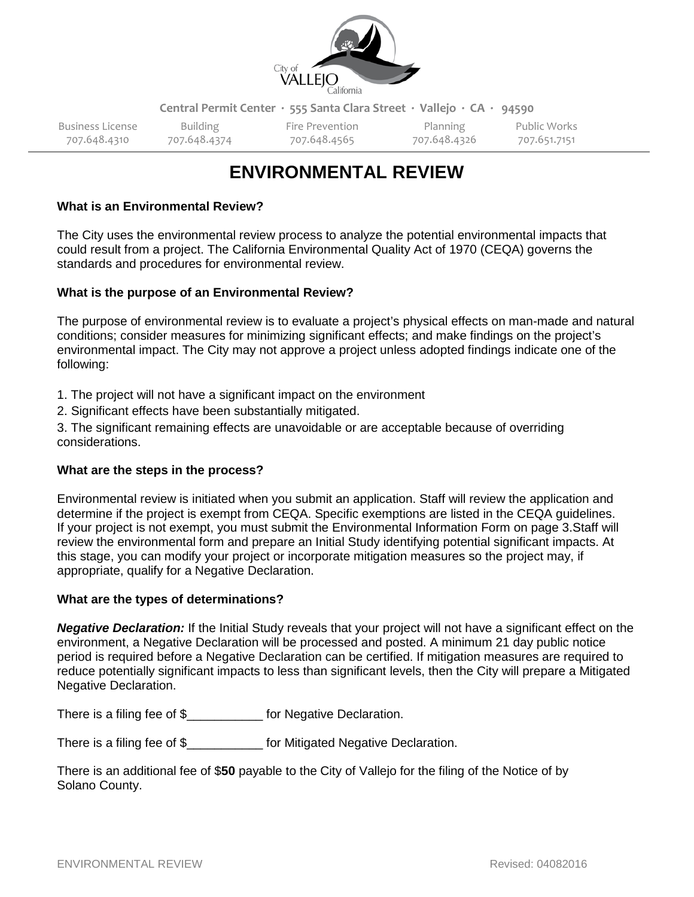

**Central Permit Center ∙ 555 Santa Clara Street ∙ Vallejo ∙ CA ∙ 94590**

Business License and Building Fire Prevention and Planning Public Works 707.648.4310 707.648.4374 707.648.4565 707.648.4326 707.651.7151

# **ENVIRONMENTAL REVIEW**

## **What is an Environmental Review?**

The City uses the environmental review process to analyze the potential environmental impacts that could result from a project. The California Environmental Quality Act of 1970 (CEQA) governs the standards and procedures for environmental review.

### **What is the purpose of an Environmental Review?**

The purpose of environmental review is to evaluate a project's physical effects on man-made and natural conditions; consider measures for minimizing significant effects; and make findings on the project's environmental impact. The City may not approve a project unless adopted findings indicate one of the following:

1. The project will not have a significant impact on the environment

2. Significant effects have been substantially mitigated.

3. The significant remaining effects are unavoidable or are acceptable because of overriding considerations.

## **What are the steps in the process?**

Environmental review is initiated when you submit an application. Staff will review the application and determine if the project is exempt from CEQA. Specific exemptions are listed in the CEQA guidelines. If your project is not exempt, you must submit the Environmental Information Form on page 3.Staff will review the environmental form and prepare an Initial Study identifying potential significant impacts. At this stage, you can modify your project or incorporate mitigation measures so the project may, if appropriate, qualify for a Negative Declaration.

#### **What are the types of determinations?**

*Negative Declaration:* If the Initial Study reveals that your project will not have a significant effect on the environment, a Negative Declaration will be processed and posted. A minimum 21 day public notice period is required before a Negative Declaration can be certified. If mitigation measures are required to reduce potentially significant impacts to less than significant levels, then the City will prepare a Mitigated Negative Declaration.

There is a filing fee of \$\_\_\_\_\_\_\_\_\_\_\_ for Negative Declaration.

There is a filing fee of \$ for Mitigated Negative Declaration.

There is an additional fee of \$**50** payable to the City of Vallejo for the filing of the Notice of by Solano County.